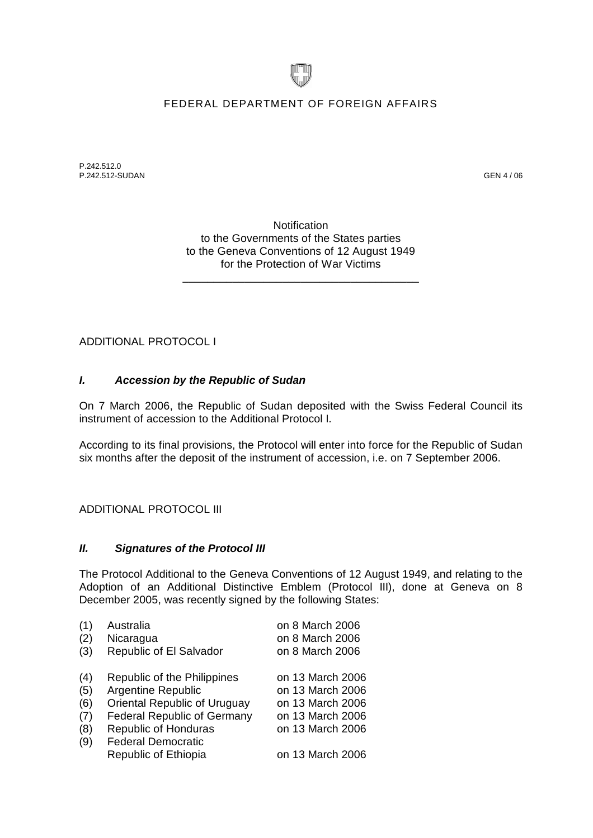

## FEDERAL DEPARTMENT OF FOREIGN AFFAIRS

P.242.512.0 P.242.512-SUDAN GEN 4 / 06

**Notification** to the Governments of the States parties to the Geneva Conventions of 12 August 1949 for the Protection of War Victims

\_\_\_\_\_\_\_\_\_\_\_\_\_\_\_\_\_\_\_\_\_\_\_\_\_\_\_\_\_\_\_\_\_\_\_\_\_\_

ADDITIONAL PROTOCOL I

## *I. Accession by the Republic of Sudan*

On 7 March 2006, the Republic of Sudan deposited with the Swiss Federal Council its instrument of accession to the Additional Protocol I.

According to its final provisions, the Protocol will enter into force for the Republic of Sudan six months after the deposit of the instrument of accession, i.e. on 7 September 2006.

## ADDITIONAL PROTOCOL III

## *II. Signatures of the Protocol III*

The Protocol Additional to the Geneva Conventions of 12 August 1949, and relating to the Adoption of an Additional Distinctive Emblem (Protocol III), done at Geneva on 8 December 2005, was recently signed by the following States:

| (1) | Australia                           | on 8 March 2006  |
|-----|-------------------------------------|------------------|
| (2) | Nicaragua                           | on 8 March 2006  |
| (3) | Republic of El Salvador             | on 8 March 2006  |
| (4) | Republic of the Philippines         | on 13 March 2006 |
|     |                                     |                  |
| (5) | Argentine Republic                  | on 13 March 2006 |
| (6) | <b>Oriental Republic of Uruguay</b> | on 13 March 2006 |
| (7) | <b>Federal Republic of Germany</b>  | on 13 March 2006 |
| (8) | <b>Republic of Honduras</b>         | on 13 March 2006 |
| (9) | <b>Federal Democratic</b>           |                  |
|     | Republic of Ethiopia                | on 13 March 2006 |